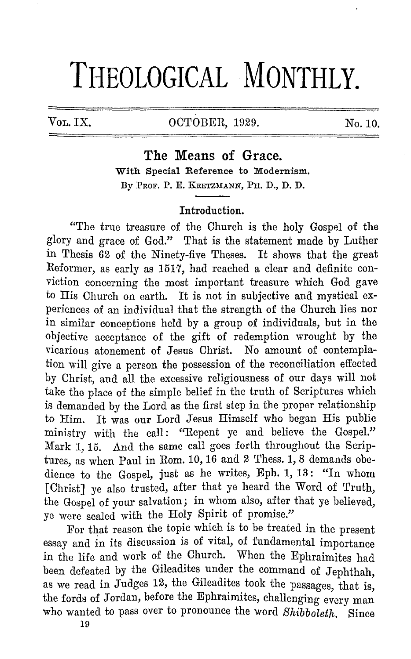# **THEOLOGICAL MONTHLY.**

## Vol. IX. 0CTOBER, 1929. No. 10.

**The Means of Grace.**  With Special Reference to Modernism. By Prof. P. E. KRETZMANN, PH. D., D. D.

### Introduction.

"The true treasure of the Church is the holy Gospel of the glory and grace of God." That is the statement made by Luther in Thesis 62 of the Ninety-five Theses. It shows that the great Reformer, as early as 1517, had reached a clear and definite conviction concerning the most important treasure which God gave to His Church on earth. It is not in subjective and mystical experiences of an individual that the strength of the Church lies nor in similar conceptions held by a group of individuals, but in the objective acceptance of the gift of redemption wrought by the vicarious atonement of Jesus Christ. No amount of contemplation will give a person the possession of the reconciliation effected by Christ, and all the excessive religiousness of our days will not take the place of the simple belief in the truth of Scriptures which is demanded by the Lord as the first step in the proper relationship to Him. It was our Lord Jesus Himself who began His public ministry with the call: "Repent ye and believe the Gospel." Mark 1, 15. And the same call goes forth throughout the Scriptures, as when Paul in Rom. 10, 16 and 2 Thess. 1, 8 demands obedience to the Gospel, just as he writes, Eph. 1, 13: "In whom [Christ] ye also trusted, after that ye heard the Word of Truth, the Gospel of your salvation; in whom also, after that ye believed, ye were sealed with the Holy Spirit of promise."

For that reason the topic which is to be treated in the present essay and in its discussion is of vital, of fundamental importance in the life and work of the Church. When the Ephraimites had been defeated by the Gileadites under the command of Jephthah, as we read in Judges 12, the Gileadites took the passages, that is, the fords of Jordan, before the Ephraimites, challenging every man who wanted to pass over to pronounce the word *Shibboleth*. Since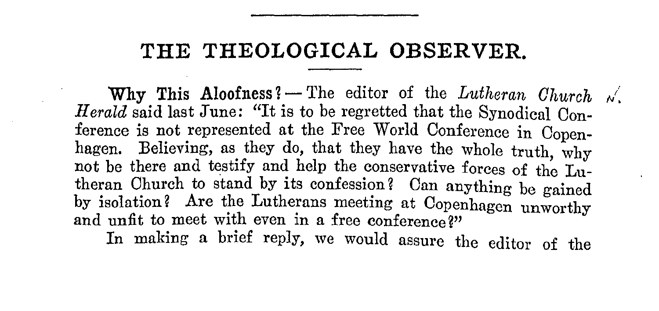## **THE THEOLOGICAL OBSERVER.**

**Why This Aloofness?** – The editor of the *Lutheran Church*  $\sqrt{}$ Herald said last June: "It is to be regretted that the Synodical Conference is not represented at the Free World Conference in Copenhagen. Believing, as they do, that they have the whole truth, why not be there and testify and help the conservative forces of the  $L_{\text{ul}}$ theran Ohurch to stand by its confession? Oan anything be gained by isolation? Are the Lutherans meeting at Oopenhagen unworthy and unfit to meet with even in a free conference?"

In making a brief reply, we would assure the editor of the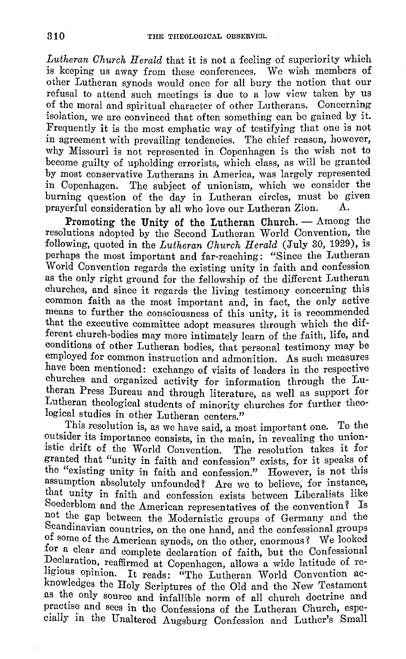*Lutheran Church Herald* that it is not a feeling of superiority which is keeping us away from these conferences. We wish members of other Lutheran synods would once for all bury the notion that our refusal to attend such meetings is due to a low view taken by us of the moral and spiritual character of other Lutherans. Concerning isolation, we are convinced that often something can be gained by it. Frequently it is the most emphatic way of testifying that one is not in agreement with prevailing tendencies. The chief reason, however, why Missouri is not represented in Copenhagen is the wish not to become guilty of upholding crrorists, which class, as will be granted by most conservative Lutherans in America, was largely represented in Copenhagen. The subject of unionism, which we consider the burning question of the day in Lutheran circles, must be given<br>prayerful consideration by all who love our Lutheran Zion. A. prayerful consideration by all who love our Lutheran Zion.

Promoting the Unity of the Lutheran Church.  $-$  Among the resolutions adopted by the Second Lutheran World Convention, the following, quoted in the *Lutheran Church Herald* (July 30, 1929), is perhaps the most important and far-reaching: "Since the Lutheran World Convention regards the existing unity in faith and confession as the only right ground for the fellowship of the different Lutheran churches, and since it regards the living testimony concerning this common faith as the most important and, in fact, the only active means to further the consciousness of this unity, it is recommended that the executive committee adopt measures through which the different church-bodies may more intimately learn of the faith, life, and conditions of other Lutheran bodies, that personal testimony may be employed for common instruction and admonition. As such measures have been mentioned: exchange of visits of leaders in the respective churches and organized activity for information through the Lutheran Press Bureau and through literature, as well as support for Lutheran theological students of minority churches for further theological studies in other Lutheran centers."

This resolution is, as we have said, a most important one. To the outsider its importance consists, in the main, in revealing the unionistic drift of the World Convention. The resolution takes it for granted that "unity in faith and confession" exists, for it speaks of the "existing unity in faith and confession." However, is not this assumption absolutely unfounded? Are we to believe, for instance, that unity in faith and confession exists between Liberalists like Soederblom and the American representatives of the convention? Is not the gap between the Modernistic groups of Germany and the Scandinavian countries, on the one hand, and the confessional groups of some of the American synods, on the other, enormous? We looked for a clear and complete declaration of faith, but the Confessional Declaration, reaffirmed at Copenhagen, allows a wide latitude of religious opinion. It reads: "The Lutheran World Convention acknowledges the Holy Scriptures of the Old and the New Testament as the only source and infallible norm of all church doctrine and practise and sees in the Confessions of the Lutheran Church, especially in the Unaltered Augsburg Confession and Luther's Small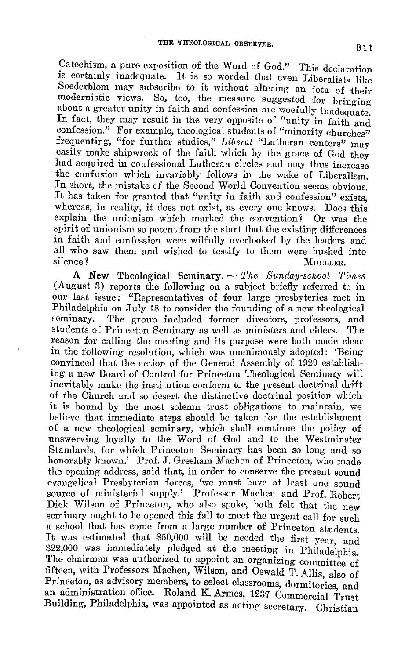Catechism, a pure exposition of the Word of God." This declaration is certainly inadequate. It is so worded that even Liberalists like Soederblom may subscribe to it without altering an iota of their modernistic views. So, too, the measure suggested for bringing about a greater unity in faith and confession arc woefully inadequate. In fact, they may result in the very opposite of "unity in faith and confession." For example, theological students of "minority churches" frequenting, "for further studies," *Liberal* "Lutheran centers" may easily make shipwreck of the faith which by the grace of God they had acquired in confessional Lutheran circles and may thus increase the confusion which invariably follows in the wake of Liberalism. In short, the mistake of the Second World Convention seems obvious. It has taken for granted that "unity in faith and confession" exists. whereas, in reality, it does not exist, as every one knows. Does this explain the unionism which marked the convention? Or was the explain the unionism which marked the convention? spirit of unionism so potent from the start that the existing differences in faith and confession were wilfully overlooked by the leaders and all who saw them and wished to testify to them were hushed into silence? MUELLER.

A New Theological Seminary. - *The Sunday-school Times* (August 3) reports the following on a subject briefly referred to in our last issue; "Representatives of four large presbyteries met in Philadelphia on July 18 to consider the founding of a new theological The group included former directors, professors, and students of Princeton Seminary as well as ministers and elders. The reason for calling the meeting and its purpose were both made clear in the following resolution, which was unanimously adopted: 'Being convinced that the action of the General Assembly of 1929 establishing a new Board of Control for Princeton Theological Seminary will inevitably make the institution conform to the present doctrinal drift of the Church and so desert the distinctive doctrinal position which it is bound by the most solemn trust obligations to maintain, we believe that immediate steps should be taken for the establishment of a new theological seminary, which shall continue the policy of unswerving loyalty to the Word of God and to the Westminster Standards, for which Princeton Seminary has been so long and so honorably known.' Pro£. J. Gresham Machen of Princeton, who made the opening address, said that, in order to conserve the present sound evangelical Presbyterian forces, 'we must have at least one sound source of ministerial supply.' Professor Machen and Prof. Robert Dick Wilson of Princeton, who also spoke, both felt that the new seminary ought to be opened this fall to meet the urgent call for such a school that has come from a large number of Princeton students. It was estimated that \$50,000 will be needed the first year, and \$22,000 was immediately pledged at the meeting in Philadeiphia. The chairman was authorized to appoint an organizing committee of fifteen, with Professors Machen, Wilson, and Oswald T. Allis, also of Princeton, as advisory members, to select classrooms, dormitories, and an administration office. Roland K. Armes, 1237 Commercial Trust Building, Philadelphia, was appointed as acting secretary. Christian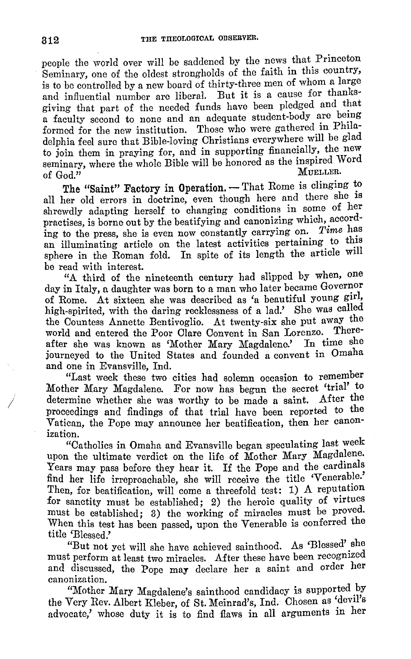people the world over will be saddened by the news that Princeton Seminary, one of the oldest strongholds of the faith in this country, is to be controlled by a new board of thirty-three men of whom a large and influential number are liberal. But it is a cause for thanksgiving that part of the needed funds have been pledged and that a faculty second to none and an adequate student-body are being formed for the new institution. Those who were gathered in Philadelphia £eel sure that Bible-loving Christians everywhere will be glad to join them in praying for, and in supporting financially, the new seminary, where the whole Bible will be honored as the inspired Word of  $\text{God.}^{\widetilde{n}}$  Mueller,

The "Saint" Factory in Operation. - That Rome is clinging to all her old errors in doctrine, even though here and there she is shrewdly adapting herself to changing conditions in some of her practises, is borne out by the beatifying and canonizing which, according to the press, she is even now constantly carrying on. Time has an illuminating article on the latest activities pertaining to this sphere in the Roman fold. In spite of its length the article will be read with interest.

"A third of the nineteenth century had slipped by when, one day in Italy, a daughter was born to a man who later became Governor of Rome. At sixteen she was described as 'a beautiful young girl, high-spirited, with the daring recklessness of a lad.' She was called the Countess Annette Bentivoglio. At twenty-six she put away the world and entered the Poor Clare Convent in San Lorenzo. There after she was known as 'Mother Mary Magdalene.' In time she Journeyed to the United States and founded a convent in Omaha and one in Evansville, Ind.

"Last week these two cities had solemn occasion to remember Mother Mary Magdalene. For now has begun the secret 'trial' to determine whether she was worthy to be made a saint. After the determine whether she was worthy to be made a saint. proceedings and findings of that trial have been reported to the Vatican, the Pope may announce her beatification, then her canonization. The contract of the contract of the contract of the contract of the contract of the contract of the contract of the contract of the contract of the contract of the contract of the contract of the contract of the c

"Catholics in Omaha and Evansville began speculating last week upon the ultimate verdict on the life of Mother Mary Magdalene. Years may pass before they hear it. If the Pope and the cardinals find her life irreproachable, she will receive the title 'Venerable.' Then, for beatification, will come a threefold test: 1) A reputation for sanctity must be established; 2) the heroic quality of virtues must be established; 3) the working of miracles must be proved. When this test has been passed, upon the Venerable is conferred the title 'Blessed.'

"But not yet will she have achieved sainthood. As 'Blessed' she must perform at least two miracles. After these have been recognized and discussed, the Pope may declare her a saint and order her canonization.

"Mother Mary Magdalene's sainthood candidacy is supported by the Very Rev. Albert Kleber, of St. Meinrad's, Ind. Chosen as 'devil's advocate,' whose duty it is to find flaws in all arguments in her

*I*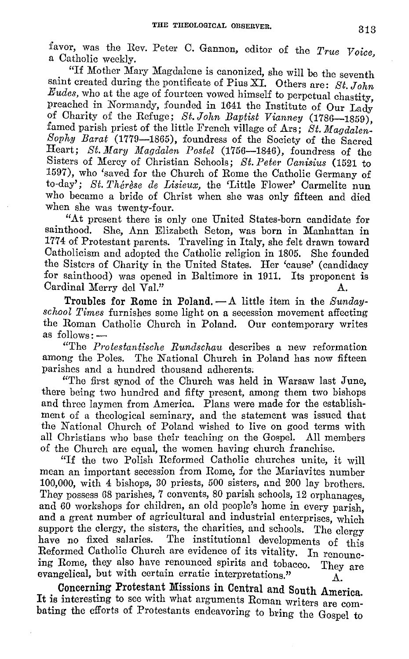favor, was the Rev. Peter C. Gannon, editor of the *True Voice*, a Catholic weekly.

"If Mother Mary Magdalene is canonized, she will be the seventh saint created during the pontificate of Pius XI. Others are: *St. John Eudes,* who at the age of fourteen vowed himself to perpetual chastity preached in Normandy, founded in 1641 the Institute of Our Lady of Charity of the Refuge; *St. John Baptist Vianney* (1786-1859), famed parish priest of the little French village of Ars; *St. Magdalen-Sophy Barat* (1779-1865), foundress of the Society of the Sacred Heart; *St. Mary Magdalen Postel* (1756-1846), foundress of the Sisters of Mercy of Christian Schools; *St. Peter Oanisius* (1521 to 1597), who 'saved for the Church of Rome the Catholic Germany of to-day'; *St. Thérèse de Lisieux*, the 'Little Flower' Carmelite nun who became a bride of Christ when she was only fifteen and died when she was twenty-four.

"At present there is only one United States-born candidate for She, Ann Elizabeth Seton, was born in Manhattan in 1774 of Protestant parents. Traveling in Italy, she felt drawn toward Catholicism and adopted the Catholic religion in 1805. the Sisters of Charity in the United States. Her 'cause' (candidacy for sainthood) was opened in Baltimore in 1911. Its proponent is for sainthood) was opened in Baltimore in 1911. Cardinal Merry del Val."

Troubles for Rome in Poland. - A little item in the *Sundayschool Times* furnishes some light on a secession movement affecting the Roman Catholic Church in Poland. Our contemporary writes as follows:-

"The *P1·otestantische Rundschau* describes a new reformation among the Poles. The National Church in Poland has now fifteen parishes and a hundred thousand adherents;

"The first synod of the Church was held in Warsaw last June, there being two hundred and fifty present, among them two bishops and three laymen from America. Plans were made for the establishment of a theological seminary, and the statement was issued that the National Church of Poland wished to live on good terms with all Christians who base their teaching on the Gospel. All members of the Church are equal, the women having church franchise.

"If the two Polish Reformed Catholic churches unite, it will mean an important secession from Rome, for the Mariavites number 100,000, with 4 bishops, 30 priests, 500 sisters, and 200 lay brothers. They possess 68 parishes, 7 convents, 80 parish schools, 12 orphanages and 60 workshops for children, an old people's home in every parish' and a great number of agricultural and industrial enterprises, which support the clergy, the sisters, the charities, and schools. The clergy have no fixed salaries. The institutional developments of this Reformed Catholic Church are evidence of its vitality. In renouncing Rome, they also have renounced spirits and tobacco. They are evangelical, but with certain erratic interpretations."

Concerning Protestant Missions in Central and South America It is interesting to see with what arguments Roman writers are combating the efforts of Protestants endeavoring to bring the Gospel to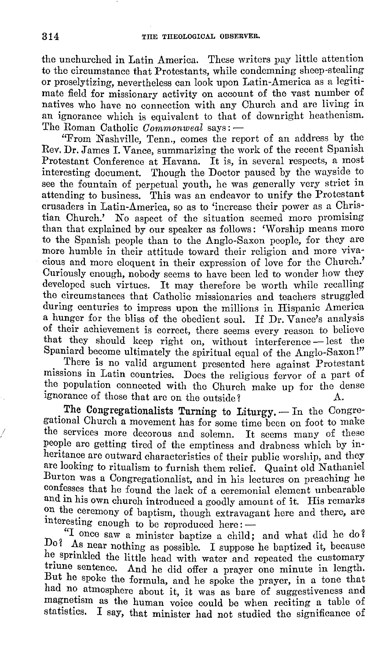the unchurched in Latin America. These writers pay little attention to the circumstance that Protestants, while condemning sheep-stealing or proselytizing, nevertheless can look upon Latin-America as a legitimate field for missionary activity on account of the vast number of natives who have no connection with any Church and arc living in an ignorance which is equivalent to that of downright heathenism. The Roman Catholic *Commonweal* says: -

"From Nashville, Tenn., comes the report of an address by the Rev. **Dr.** James I. Vance, summarizing the work of the recent Spanish Protestant Conference at Havana. It is, in several respects, a most interesting document. Though the Doctor paused by the wayside to see the fountain of perpetual youth, he was generally very strict in attending to business. This was an endeavor to unify the Protestant crusaders in Latin-America, so as to 'increase their power as a Christian Church.' No aspect of the situation seemed more promising than that explained by our speaker as follows: 'Worship means more to the Spanish people than to the Anglo-Saxon people, for they are more humble in their attitude toward their religion and more vivacious and more eloquent in their expression of love for the Church.' Curiously enough, nobody seems to have been led to wonder how they developed such virtues. It may therefore be worth while recalling the circumstances that Catholic missionaries and teachers struggled during centuries to impress upon the millions in Hispanic America a hunger for the bliss of the obedient soul. If Dr. Vance's analysis of their achievement is correct, there seems every reason to believe that they should keep right on, without interference - lest the Spaniard become ultimately the spiritual equal of the Anglo-Saxon!"

There is no valid argument presented here against Protestant missions in Latin countries. Does the religious fervor of a part of the population connected with the Church make up for the dense ignorance of those that are on the outside?

The Congregationalists Turning to Liturgy. - In the Congregational Church a movement has for some time been on foot to make the services more decorous and solemn. It seems many of these people are getting tired of the emptiness and drabness which by inheritance are outward characteristics of their public worship, and they are looking to ritualism to furnish them relief. Quaint old Nathaniel Burton was a Congregationalist, and in his lectures on preaching he confesses that he found the lack of a ceremonial element unbearable and in his own church introduced a goodly amount of it. His remarks on the ceremony of baptism, though extravagant here and there, are interesting enough to be reproduced here: -

"I once saw a minister baptize a child; and what did he do? Do? As near nothing as possible. I suppose he baptized it, because he sprinkled the little head with water and repeated the customary triune sentence. And he did offer a prayer one minute in length. But he spoke the formula, and he spoke the prayer, in a tone that had no atmosphere about it, it was as bare of suggestiveness and magnetism as the human voice could be when reciting a table of statistics. I say, that minister had not studied the significance of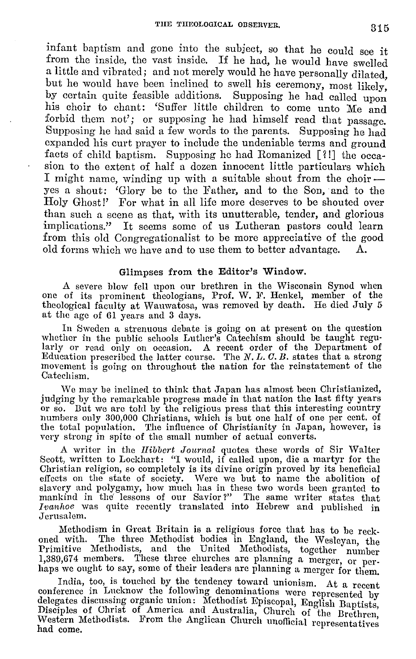infant baptism and gone into the subject, so that he could see it from the inside, the vast inside. If he had, he would have swelled a little and vibrated; and not merely would he have personally dilated but he would have been inclined to swell his ceremony, most likely, by certain quite feasible additions. Supposing he had called upon his choir to chant: 'Suffer little children to come unto Me and forbid them not'; or supposing he had himself read that passage. Supposing he had said a few words to the parents. Supposing he had expanded his curt prayer to include the undeniable terms and ground facts of child baptism. Supposing he had Romanized [?!] the occasion to the extent of half a dozen innocent little particulars which I might name, winding up with a suitable shout from the choir  $$ yes a shout: 'Glory be to the Father, and to the Son, and to the Holy Ghost!' For what in all life more deserves to be shouted over than such a scene as that, with its unutterable, tender, and glorious implications." It seems some of us Lutheran pastors could learn from this old Congregationalist to be more appreciative of the good old forms which we have and to use them to better advantage.

#### Glimpses from the Editor's Window.

A severe blow fell upon our brethren in the Wisconsin Synod when one of its prominent theologians, Prof. W. F. Henkel, member of the theological faculty at Wauwatosa, was removed by death. He died July 5 at the age of 61 years and 3 days.

In Sweden a strenuous debate is going on at present on the question whether in the public schools Luther's Catechism should be taught regularly or read only on occasion. A recent order of the Department of Education prescribed the latter course. The N. L. C. B. states that a strong movement is going on throughout the nation for the reinstatement of the Catechism.

We may be inclined to think that Japan has almost been Christianized, judging by the remarkable progress made in that nation the last fifty years judging by the remarkable progress made in that nation the last fifty years<br>or so. But we are told by the religious press that this interesting country<br>numbers only 300,000 Christians, which is but one half of one per cent the total population. The influence of Christianity in Japan, however, is very strong in spite of the small number of actual converts.

A writer in the *Hibbert Journal* quotes these words of Sir Walter Scott, written to Lockhart: "I would, if called upon, die a martyr for the Christian religion, so completely is its divine origin proved by its beneficial effects on the state of society. Were we but to name the abolition of slavery and polygamy, how much has in these two words been granted to mankind in the' lessons of our Savior?" The same writer states that Ivanhoe was quite recently translated into Hebrew and published in Jerusalem.

Methodism in Great Britain is a religious force that has to be reckoned with. The three Methodist bodies in England, the Wesleyan, the Primitive Methodists, and the United Methodists, together number 1,389,674 members. These three churches are planning a merger, or perhaps we ought to say, some of their leaders are planning a merger for them.

India, too, is touched by the tendency toward unionism. At a recent conference in Lucknow the follow'ing denominations were represented by delegates discussing organic union: Methodist Episcopal, English Baptists, Disciples of Christ of America and Australia, Church of the Brethren Western Methodists. From the Anglican Church unofficial representatives had come.